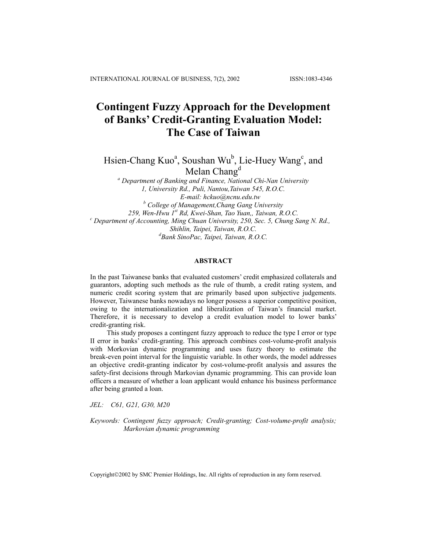# **Contingent Fuzzy Approach for the Development of Banks' Credit-Granting Evaluation Model: The Case of Taiwan**

Hsien-Chang Kuo<sup>a</sup>, Soushan Wu<sup>b</sup>, Lie-Huey Wang<sup>c</sup>, and Melan  $Chang<sup>d</sup>$ 

*a Department of Banking and Finance, National Chi-Nan University 1, University Rd., Puli, Nantou,Taiwan 545, R.O.C. E-mail: hckuo@ncnu.edu.tw b College of Management,Chang Gang University 259, Wen-Hwu 1st Rd, Kwei-Shan, Tao Yuan,, Taiwan, R.O.C. <sup>c</sup> Department of Accounting, Ming Chuan University, 250, Sec. 5, Chung Sang N. Rd., Shihlin, Taipei, Taiwan, R.O.C. d Bank SinoPac, Taipei, Taiwan, R.O.C.*

# **ABSTRACT**

In the past Taiwanese banks that evaluated customers' credit emphasized collaterals and guarantors, adopting such methods as the rule of thumb, a credit rating system, and numeric credit scoring system that are primarily based upon subjective judgements. However, Taiwanese banks nowadays no longer possess a superior competitive position, owing to the internationalization and liberalization of Taiwan's financial market. Therefore, it is necessary to develop a credit evaluation model to lower banks' credit-granting risk.

This study proposes a contingent fuzzy approach to reduce the type I error or type II error in banks' credit-granting. This approach combines cost-volume-profit analysis with Morkovian dynamic programming and uses fuzzy theory to estimate the break-even point interval for the linguistic variable. In other words, the model addresses an objective credit-granting indicator by cost-volume-profit analysis and assures the safety-first decisions through Markovian dynamic programming. This can provide loan officers a measure of whether a loan applicant would enhance his business performance after being granted a loan.

*JEL: C61, G21, G30, M20* 

*Keywords: Contingent fuzzy approach; Credit-granting; Cost-volume-profit analysis; Markovian dynamic programming* 

Copyright©2002 by SMC Premier Holdings, Inc. All rights of reproduction in any form reserved.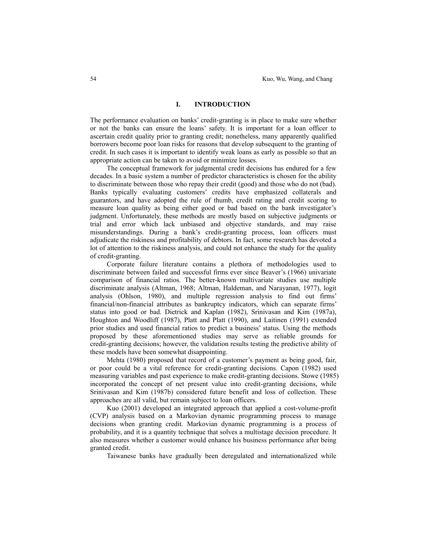### **I. INTRODUCTION**

The performance evaluation on banks' credit-granting is in place to make sure whether or not the banks can ensure the loans' safety. It is important for a loan officer to ascertain credit quality prior to granting credit; nonetheless, many apparently qualified borrowers become poor loan risks for reasons that develop subsequent to the granting of credit. In such cases it is important to identify weak loans as early as possible so that an appropriate action can be taken to avoid or minimize losses.

 The conceptual framework for judgmental credit decisions has endured for a few decades. In a basic system a number of predictor characteristics is chosen for the ability to discriminate between those who repay their credit (good) and those who do not (bad). Banks typically evaluating customers' credits have emphasized collaterals and guarantors, and have adopted the rule of thumb, credit rating and credit scoring to measure loan quality as being either good or bad based on the bank investigator's judgment. Unfortunately, these methods are mostly based on subjective judgments or trial and error which lack unbiased and objective standards, and may raise misunderstandings. During a bank's credit-granting process, loan officers must adjudicate the riskiness and profitability of debtors. In fact, some research has devoted a lot of attention to the riskiness analysis, and could not enhance the study for the quality of credit-granting.

 Corporate failure literature contains a plethora of methodologies used to discriminate between failed and successful firms ever since Beaver's (1966) univariate comparison of financial ratios. The better-known multivariate studies use multiple discriminate analysis (Altman, 1968; Altman, Haldeman, and Narayanan, 1977), logit analysis (Ohlson, 1980), and multiple regression analysis to find out firms' financial/non-financial attributes as bankruptcy indicators, which can separate firms' status into good or bad. Dietrick and Kaplan (1982), Srinivasan and Kim (1987a), Houghton and Woodliff (1987), Platt and Platt (1990), and Laitinen (1991) extended prior studies and used financial ratios to predict a business' status. Using the methods proposed by these aforementioned studies may serve as reliable grounds for credit-granting decisions; however, the validation results testing the predictive ability of these models have been somewhat disappointing.

 Mehta (1980) proposed that record of a customer's payment as being good, fair, or poor could be a vital reference for credit-granting decisions. Capon (1982) used measuring variables and past experience to make credit-granting decisions. Stowe (1985) incorporated the concept of net present value into credit-granting decisions, while Srinivasan and Kim (1987b) considered future benefit and loss of collection. These approaches are all valid, but remain subject to loan officers.

 Kuo (2001) developed an integrated approach that applied a cost-volume-profit (CVP) analysis based on a Markovian dynamic programming process to manage decisions when granting credit. Markovian dynamic programming is a process of probability, and it is a quantity technique that solves a multistage decision procedure. It also measures whether a customer would enhance his business performance after being granted credit.

Taiwanese banks have gradually been deregulated and internationalized while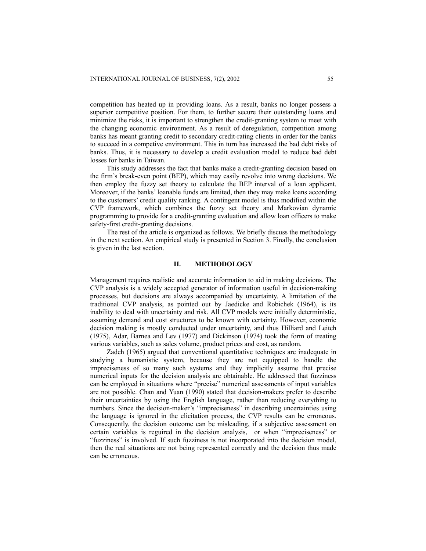competition has heated up in providing loans. As a result, banks no longer possess a superior competitive position. For them, to further secure their outstanding loans and minimize the risks, it is important to strengthen the credit-granting system to meet with the changing economic environment. As a result of deregulation, competition among banks has meant granting credit to secondary credit-rating clients in order for the banks to succeed in a competive environment. This in turn has increased the bad debt risks of banks. Thus, it is necessary to develop a credit evaluation model to reduce bad debt losses for banks in Taiwan.

 This study addresses the fact that banks make a credit-granting decision based on the firm's break-even point (BEP), which may easily revolve into wrong decisions. We then employ the fuzzy set theory to calculate the BEP interval of a loan applicant. Moreover, if the banks' loanable funds are limited, then they may make loans according to the customers' credit quality ranking. A contingent model is thus modified within the CVP framework, which combines the fuzzy set theory and Markovian dynamic programming to provide for a credit-granting evaluation and allow loan officers to make safety-first credit-granting decisions.

 The rest of the article is organized as follows. We briefly discuss the methodology in the next section. An empirical study is presented in Section 3. Finally, the conclusion is given in the last section.

# **II. METHODOLOGY**

Management requires realistic and accurate information to aid in making decisions. The CVP analysis is a widely accepted generator of information useful in decision-making processes, but decisions are always accompanied by uncertainty. A limitation of the traditional CVP analysis, as pointed out by Jaedicke and Robichek (1964), is its inability to deal with uncertainty and risk. All CVP models were initially deterministic, assuming demand and cost structures to be known with certainty. However, economic decision making is mostly conducted under uncertainty, and thus Hilliard and Leitch (1975), Adar, Barnea and Lev (1977) and Dickinson (1974) took the form of treating various variables, such as sales volume, product prices and cost, as random.

 Zadeh (1965) argued that conventional quantitative techniques are inadequate in studying a humanistic system, because they are not equipped to handle the impreciseness of so many such systems and they implicitly assume that precise numerical inputs for the decision analysis are obtainable. He addressed that fuzziness can be employed in situations where "precise" numerical assessments of input variables are not possible. Chan and Yuan (1990) stated that decision-makers prefer to describe their uncertainties by using the English language, rather than reducing everything to numbers. Since the decision-maker's "impreciseness" in describing uncertainties using the language is ignored in the elicitation process, the CVP results can be erroneous. Consequently, the decision outcome can be misleading, if a subjective assessment on certain variables is reguired in the decision analysis, or when "impreciseness" or "fuzziness" is involved. If such fuzziness is not incorporated into the decision model, then the real situations are not being represented correctly and the decision thus made can be erroneous.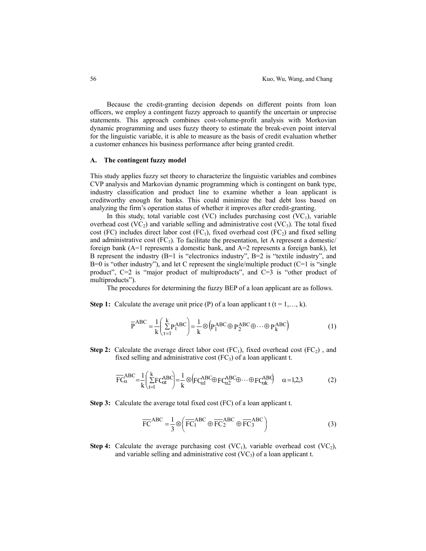Because the credit-granting decision depends on different points from loan officers, we employ a contingent fuzzy approach to quantify the uncertain or unprecise statements. This approach combines cost-volume-profit analysis with Morkovian dynamic programming and uses fuzzy theory to estimate the break-even point interval for the linguistic variable, it is able to measure as the basis of credit evaluation whether a customer enhances his business performance after being granted credit.

#### **A. The contingent fuzzy model**

This study applies fuzzy set theory to characterize the linguistic variables and combines CVP analysis and Markovian dynamic programming which is contingent on bank type, industry classification and product line to examine whether a loan applicant is creditworthy enough for banks. This could minimize the bad debt loss based on analyzing the firm's operation status of whether it improves after credit-granting.

In this study, total variable cost (VC) includes purchasing cost  $(VC<sub>1</sub>)$ , variable overhead cost  $(VC_2)$  and variable selling and administrative cost  $(VC_3)$ . The total fixed cost (FC) includes direct labor cost (FC<sub>1</sub>), fixed overhead cost (FC<sub>2</sub>) and fixed selling and administrative cost  $(FC_3)$ . To facilitate the presentation, let A represent a domestic/ foreign bank (A=1 represents a domestic bank, and A=2 represents a foreign bank), let B represent the industry (B=1 is "electronics industry", B=2 is "textile industry", and  $B=0$  is "other industry"), and let C represent the single/multiple product (C=1 is "single product", C=2 is "major product of multiproducts", and C=3 is "other product of multiproducts").

The procedures for determining the fuzzy BEP of a loan applicant are as follows.

**Step 1:** Calculate the average unit price (P) of a loan applicant  $t$  ( $t = 1,..., k$ ).

$$
\overline{P}^{ABC} = \frac{1}{k} \left( \sum_{t=1}^{k} P_t^{ABC} \right) = \frac{1}{k} \otimes \left( P_1^{ABC} \oplus P_2^{ABC} \oplus \dots \oplus P_k^{ABC} \right) \tag{1}
$$

**Step 2:** Calculate the average direct labor cost  $(FC_1)$ , fixed overhead cost  $(FC_2)$ , and fixed selling and administrative cost  $(FC_3)$  of a loan applicant t.

$$
\overline{FC}_{\alpha}^{ABC} = \frac{1}{k} \left( \sum_{t=1}^{k} FC_{\alpha t}^{ABC} \right) = \frac{1}{k} \otimes \left( FC_{\alpha l}^{ABC} \oplus FC_{\alpha 2}^{ABC} \oplus \cdots \oplus FC_{\alpha k}^{AB} \right) \quad \alpha = 1,2,3
$$
 (2)

**Step 3:** Calculate the average total fixed cost (FC) of a loan applicant t.

$$
\overline{FC}^{ABC} = \frac{1}{3} \otimes \left( \overline{FC_1}^{ABC} \oplus \overline{FC_2}^{ABC} \oplus \overline{FC_3}^{ABC} \right)
$$
 (3)

**Step 4:** Calculate the average purchasing cost  $(VC_1)$ , variable overhead cost  $(VC_2)$ , and variable selling and administrative cost  $(VC_3)$  of a loan applicant t.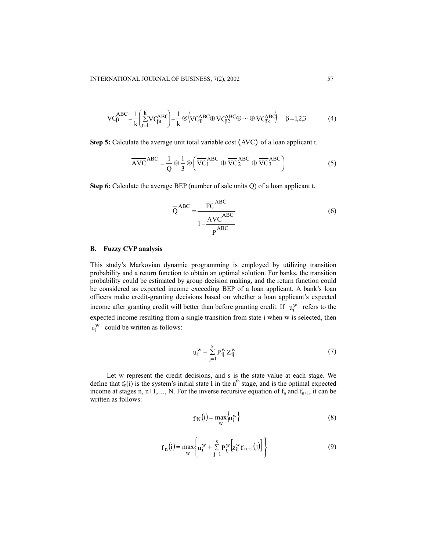$$
\overline{VC}_{\beta}^{ABC} = \frac{1}{k} \left( \sum_{t=1}^{k} VC_{\beta t}^{ABC} \right) = \frac{1}{k} \otimes \left( VC_{\beta l}^{ABC} \oplus VC_{\beta 2}^{ABC} \oplus \dots \oplus VC_{\beta k}^{ABC} \right) \quad \beta = 1,2,3
$$
 (4)

**Step 5:** Calculate the average unit total variable cost (AVC) of a loan applicant t.

$$
\overline{AVC}^{ABC} = \frac{1}{Q} \otimes \frac{1}{3} \otimes \left( \overline{VC_1}^{ABC} \oplus \overline{VC_2}^{ABC} \oplus \overline{VC_3}^{ABC} \right)
$$
 (5)

**Step 6:** Calculate the average BEP (number of sale units Q) of a loan applicant t.

$$
\overline{Q}^{ABC} = \frac{\overline{FC}^{ABC}}{1 - \frac{\overline{AVC}}{\overline{P}^{ABC}}}
$$
 (6)

#### **B. Fuzzy CVP analysis**

This study's Markovian dynamic programming is employed by utilizing transition probability and a return function to obtain an optimal solution. For banks, the transition probability could be estimated by group decision making, and the return function could be considered as expected income exceeding BEP of a loan applicant. A bank's loan officers make credit-granting decisions based on whether a loan applicant's expected income after granting credit will better than before granting credit. If  $u_i^w$  refers to the expected income resulting from a single transition from state i when w is selected, then  $u_i^w$  could be written as follows:

$$
u_i^W = \sum_{j=1}^{S} P_{ij}^W Z_{ij}^W
$$
 (7)

Let w represent the credit decisions, and s is the state value at each stage. We define that  $f_n(i)$  is the system's initial state I in the n<sup>th</sup> stage, and is the optimal expected income at stages n,  $n+1,..., N$ . For the inverse recursive equation of  $f_n$  and  $f_{n+1}$ , it can be written as follows:

$$
f_N(i) = \max_{w} \{u_i^w\}
$$
 (8)

$$
f_{n}(i) = \max_{w} \left\{ u_{i}^{w} + \sum_{j=1}^{s} P_{ij}^{w} \left[ z_{ij}^{w} f_{n+1}(j) \right] \right\}
$$
(9)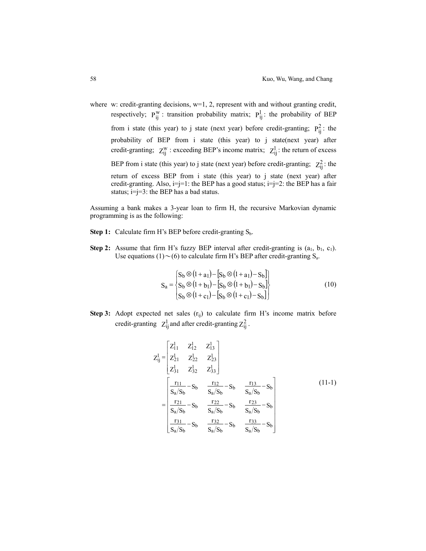where w: credit-granting decisions,  $w=1$ , 2, represent with and without granting credit, respectively;  $P_{ij}^W$ : transition probability matrix;  $P_{ij}^1$ : the probability of BEP from i state (this year) to j state (next year) before credit-granting;  $P_{ij}^2$ : the probability of BEP from i state (this year) to j state(next year) after credit-granting;  $Z_{ij}^W$ : exceeding BEP's income matrix;  $Z_{ij}^1$ : the return of excess BEP from i state (this year) to j state (next year) before credit-granting;  $Z_{ij}^2$ : the return of excess BEP from i state (this year) to j state (next year) after credit-granting. Also,  $i=j=1$ : the BEP has a good status;  $i=j=2$ : the BEP has a fair status;  $i=j=3$ : the BEP has a bad status.

Assuming a bank makes a 3-year loan to firm H, the recursive Markovian dynamic programming is as the following:

- Step 1: Calculate firm H's BEP before credit-granting S<sub>b</sub>.
- **Step 2:** Assume that firm H's fuzzy BEP interval after credit-granting is  $(a_1, b_1, c_1)$ . Use equations (1) $\sim$ (6) to calculate firm H's BEP after credit-granting S<sub>a</sub>.

$$
S_{a} = \begin{cases} S_{b} \otimes (1 + a_{1}) - [S_{b} \otimes (1 + a_{1}) - S_{b}] \\ S_{b} \otimes (1 + b_{1}) - [S_{b} \otimes (1 + b_{1}) - S_{b}] \\ S_{b} \otimes (1 + c_{1}) - [S_{b} \otimes (1 + c_{1}) - S_{b}] \end{cases}
$$
(10)

**Step 3:** Adopt expected net sales  $(r_{ij})$  to calculate firm H's income matrix before credit-granting  $Z_{ij}^1$  and after credit-granting  $Z_{ij}^2$ .

$$
Z_{ij}^{1} = \begin{bmatrix} Z_{11}^{1} & Z_{12}^{1} & Z_{13}^{1} \\ Z_{21}^{1} & Z_{22}^{1} & Z_{23}^{1} \\ Z_{31}^{1} & Z_{32}^{1} & Z_{33}^{1} \end{bmatrix}
$$
  
= 
$$
\begin{bmatrix} \frac{r_{11}}{S_a/S_b} - S_b & \frac{r_{12}}{S_a/S_b} - S_b & \frac{r_{13}}{S_a/S_b} - S_b \\ \frac{r_{21}}{S_a/S_b} - S_b & \frac{r_{22}}{S_a/S_b} - S_b & \frac{r_{23}}{S_a/S_b} - S_b \\ \frac{r_{31}}{S_a/S_b} - S_b & \frac{r_{32}}{S_a/S_b} - S_b & \frac{r_{33}}{S_a/S_b} - S_b \end{bmatrix}
$$
(11-1)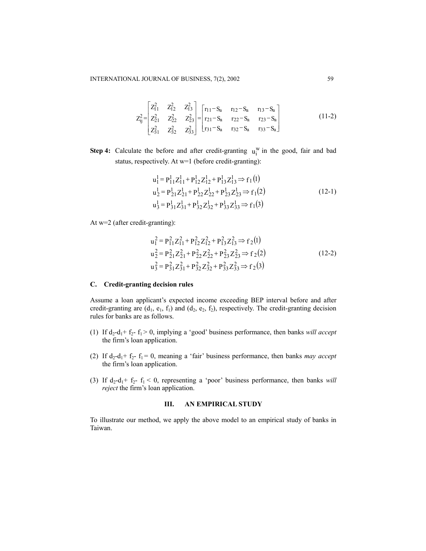$$
Z_{ij}^{2} = \begin{bmatrix} Z_{11}^{2} & Z_{12}^{2} & Z_{13}^{2} \\ Z_{21}^{2} & Z_{22}^{2} & Z_{23}^{2} \\ Z_{31}^{2} & Z_{32}^{2} & Z_{33}^{2} \end{bmatrix} = \begin{bmatrix} r_{11} - S_{a} & r_{12} - S_{a} & r_{13} - S_{a} \\ r_{21} - S_{a} & r_{22} - S_{a} & r_{23} - S_{a} \\ r_{31} - S_{a} & r_{32} - S_{a} & r_{33} - S_{a} \end{bmatrix}
$$
(11-2)

**Step 4:** Calculate the before and after credit-granting  $u_i^w$  in the good, fair and bad status, respectively. At w=1 (before credit-granting):

$$
u_1^1 = P_{11}^1 Z_{11}^1 + P_{12}^1 Z_{12}^1 + P_{13}^1 Z_{13}^1 \Rightarrow f_1(1)
$$
  
\n
$$
u_2^1 = P_{21}^1 Z_{21}^1 + P_{22}^1 Z_{22}^1 + P_{23}^1 Z_{23}^1 \Rightarrow f_1(2)
$$
  
\n
$$
u_3^1 = P_{31}^1 Z_{31}^1 + P_{32}^1 Z_{32}^1 + P_{33}^1 Z_{33}^1 \Rightarrow f_1(3)
$$
  
\n(12-1)

At w=2 (after credit-granting):

$$
u_1^2 = P_{11}^2 Z_{11}^2 + P_{12}^2 Z_{12}^2 + P_{13}^2 Z_{13}^2 \Rightarrow f_2(1)
$$
  
\n
$$
u_2^2 = P_{21}^2 Z_{21}^2 + P_{22}^2 Z_{22}^2 + P_{23}^2 Z_{23}^2 \Rightarrow f_2(2)
$$
  
\n
$$
u_3^2 = P_{31}^2 Z_{31}^2 + P_{32}^2 Z_{32}^2 + P_{33}^2 Z_{33}^2 \Rightarrow f_2(3)
$$
\n(12-2)

#### **C. Credit-granting decision rules**

Assume a loan applicant's expected income exceeding BEP interval before and after credit-granting are  $(d_1, e_1, f_1)$  and  $(d_2, e_2, f_2)$ , respectively. The credit-granting decision rules for banks are as follows.

- (1) If  $d_2-d_1+f_2-f_1 > 0$ , implying a 'good' business performance, then banks *will accept* the firm's loan application.
- (2) If  $d_2-d_1+f_2-f_1=0$ , meaning a 'fair' business performance, then banks *may accept* the firm's loan application.
- (3) If  $d_2-d_1+f_2-f_1 < 0$ , representing a 'poor' business performance, then banks *will reject* the firm's loan application.

### **III. AN EMPIRICAL STUDY**

To illustrate our method, we apply the above model to an empirical study of banks in Taiwan.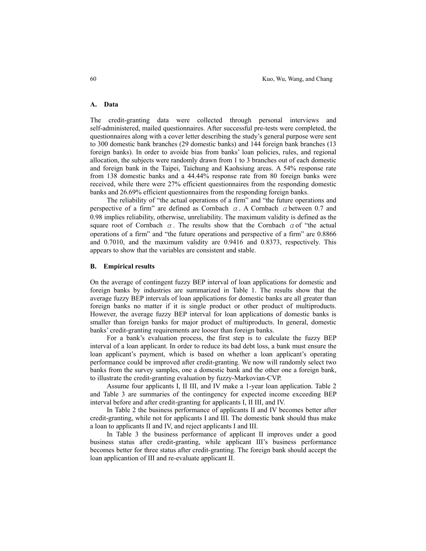# **A. Data**

The credit-granting data were collected through personal interviews and self-administered, mailed questionnaires. After successful pre-tests were completed, the questionnaires along with a cover letter describing the study's general purpose were sent to 300 domestic bank branches (29 domestic banks) and 144 foreign bank branches (13 foreign banks). In order to avoide bias from banks' loan policies, rules, and regional allocation, the subjects were randomly drawn from 1 to 3 branches out of each domestic and foreign bank in the Taipei, Taichung and Kaohsiung areas. A 54% response rate from 138 domestic banks and a 44.44% response rate from 80 foreign banks were received, while there were 27% efficient questionnaires from the responding domestic banks and 26.69% efficient questionnaires from the responding foreign banks.

The reliability of "the actual operations of a firm" and "the future operations and perspective of a firm" are defined as Cornbach  $\alpha$ . A Cornbach  $\alpha$  between 0.7 and 0.98 implies reliability, otherwise, unreliability. The maximum validity is defined as the square root of Cornbach  $\alpha$ . The results show that the Cornbach  $\alpha$  of "the actual operations of a firm" and "the future operations and perspective of a firm" are 0.8866 and 0.7010, and the maximum validity are 0.9416 and 0.8373, respectively. This appears to show that the variables are consistent and stable.

#### **B. Empirical results**

On the average of contingent fuzzy BEP interval of loan applications for domestic and foreign banks by industries are summarized in Table 1. The results show that the average fuzzy BEP intervals of loan applications for domestic banks are all greater than foreign banks no matter if it is single product or other product of multiproducts. However, the average fuzzy BEP interval for loan applications of domestic banks is smaller than foreign banks for major product of multiproducts. In general, domestic banks' credit-granting requirements are looser than foreign banks.

For a bank's evaluation process, the first step is to calculate the fuzzy BEP interval of a loan applicant. In order to reduce its bad debt loss, a bank must ensure the loan applicant's payment, which is based on whether a loan applicant's operating performance could be improved after credit-granting. We now will randomly select two banks from the survey samples, one a domestic bank and the other one a foreign bank, to illustrate the credit-granting evaluation by fuzzy-Markovian-CVP.

Assume four applicants I, II III, and IV make a 1-year loan application. Table 2 and Table 3 are summaries of the contingency for expected income exceeding BEP interval before and after credit-granting for applicants I, II III, and IV.

In Table 2 the business performance of applicants II and IV becomes better after credit-granting, while not for applicants I and III. The domestic bank should thus make a loan to applicants II and IV, and reject applicants I and III.

In Table 3 the business performance of applicant II improves under a good business status after credit-granting, while applicant III's business performance becomes better for three status after credit-granting. The foreign bank should accept the loan applicantion of III and re-evaluate applicant II.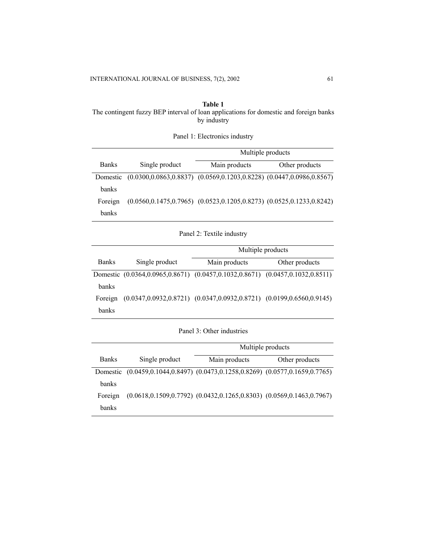**Table 1**  The contingent fuzzy BEP interval of loan applications for domestic and foreign banks by industry

Panel 1: Electronics industry

|              |                                                                                  | Multiple products                                                                |                |  |
|--------------|----------------------------------------------------------------------------------|----------------------------------------------------------------------------------|----------------|--|
| <b>Banks</b> | Single product                                                                   | Main products                                                                    | Other products |  |
| Domestic     | $(0.0300, 0.0863, 0.8837)$ $(0.0569, 0.1203, 0.8228)$ $(0.0447, 0.0986, 0.8567)$ |                                                                                  |                |  |
| banks        |                                                                                  |                                                                                  |                |  |
| Foreign      |                                                                                  | $(0.0560, 0.1475, 0.7965)$ $(0.0523, 0.1205, 0.8273)$ $(0.0525, 0.1233, 0.8242)$ |                |  |
| <b>banks</b> |                                                                                  |                                                                                  |                |  |

Panel 2: Textile industry

|              |                | Multiple products                                                                |                |  |
|--------------|----------------|----------------------------------------------------------------------------------|----------------|--|
| <b>Banks</b> | Single product | Main products                                                                    | Other products |  |
|              |                | Domestic (0.0364,0.0965,0.8671) (0.0457,0.1032,0.8671) (0.0457,0.1032,0.8511)    |                |  |
| banks        |                |                                                                                  |                |  |
| Foreign      |                | $(0.0347, 0.0932, 0.8721)$ $(0.0347, 0.0932, 0.8721)$ $(0.0199, 0.6560, 0.9145)$ |                |  |
| banks        |                |                                                                                  |                |  |

Panel 3: Other industries

|              |                                                                               | Multiple products |                                                                                  |  |
|--------------|-------------------------------------------------------------------------------|-------------------|----------------------------------------------------------------------------------|--|
| <b>Banks</b> | Single product                                                                | Main products     | Other products                                                                   |  |
|              | Domestic (0.0459,0.1044,0.8497) (0.0473,0.1258,0.8269) (0.0577,0.1659,0.7765) |                   |                                                                                  |  |
| <b>banks</b> |                                                                               |                   |                                                                                  |  |
| Foreign      |                                                                               |                   | $(0.0618, 0.1509, 0.7792)$ $(0.0432, 0.1265, 0.8303)$ $(0.0569, 0.1463, 0.7967)$ |  |
| <b>banks</b> |                                                                               |                   |                                                                                  |  |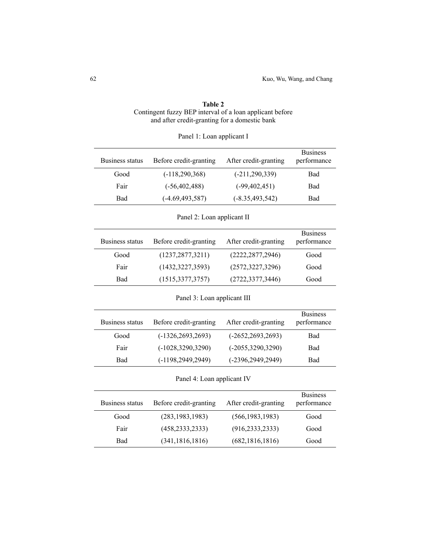| <b>Table 2</b>                                           |
|----------------------------------------------------------|
| Contingent fuzzy BEP interval of a loan applicant before |
| and after credit-granting for a domestic bank            |

| <b>Business status</b>     | Before credit-granting      | After credit-granting | <b>Business</b><br>performance |  |  |
|----------------------------|-----------------------------|-----------------------|--------------------------------|--|--|
| Good                       | $(-118, 290, 368)$          | $(-211, 290, 339)$    | Bad                            |  |  |
| Fair                       | $(-56, 402, 488)$           | $(-99, 402, 451)$     | Bad                            |  |  |
| Bad                        | $(-4.69, 493, 587)$         | $(-8.35, 493, 542)$   | Bad                            |  |  |
|                            | Panel 2: Loan applicant II  |                       |                                |  |  |
| <b>Business status</b>     | Before credit-granting      | After credit-granting | <b>Business</b><br>performance |  |  |
| Good                       | (1237, 2877, 3211)          | (2222, 2877, 2946)    | Good                           |  |  |
| Fair                       | (1432, 3227, 3593)          | (2572, 3227, 3296)    | Good                           |  |  |
| Bad                        | (1515, 3377, 3757)          | (2722, 3377, 3446)    | Good                           |  |  |
|                            | Panel 3: Loan applicant III |                       |                                |  |  |
| <b>Business status</b>     | Before credit-granting      | After credit-granting | <b>Business</b><br>performance |  |  |
| Good                       | $(-1326, 2693, 2693)$       | $(-2652, 2693, 2693)$ | Bad                            |  |  |
| Fair                       | $(-1028, 3290, 3290)$       | $(-2055, 3290, 3290)$ | Bad                            |  |  |
| Bad                        | $(-1198, 2949, 2949)$       | $(-2396, 2949, 2949)$ | Bad                            |  |  |
| Panel 4: Loan applicant IV |                             |                       |                                |  |  |
| <b>Business status</b>     | Before credit-granting      | After credit-granting | <b>Business</b><br>performance |  |  |
| Good                       | (283, 1983, 1983)           | (566, 1983, 1983)     | Good                           |  |  |
| Fair                       | (458, 2333, 2333)           | (916, 2333, 2333)     | Good                           |  |  |
| Bad                        | (341, 1816, 1816)           | (682, 1816, 1816)     | Good                           |  |  |

|  | Panel 1: Loan applicant I |
|--|---------------------------|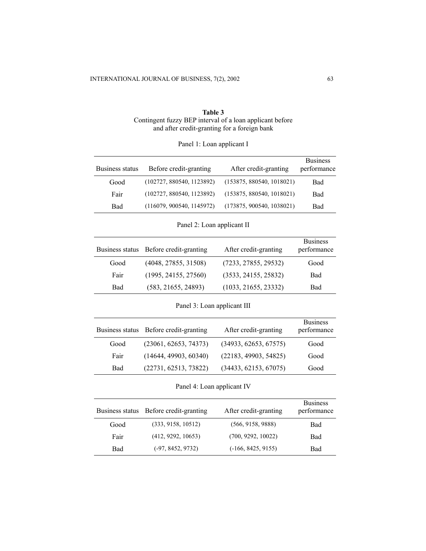| Table 3                                                  |
|----------------------------------------------------------|
| Contingent fuzzy BEP interval of a loan applicant before |
| and after credit-granting for a foreign bank             |

| Business status | Before credit-granting    | After credit-granting     | <b>Business</b><br>performance |
|-----------------|---------------------------|---------------------------|--------------------------------|
| Good            | (102727, 880540, 1123892) | (153875, 880540, 1018021) | <b>Bad</b>                     |
| Fair            | (102727, 880540, 1123892) | (153875, 880540, 1018021) | Bad                            |
| Bad             | (116079, 900540, 1145972) | (173875, 900540, 1038021) | Bad                            |

Panel 1: Loan applicant I

Panel 2: Loan applicant II

| Business status | Before credit-granting | After credit-granting | <b>Business</b><br>performance |
|-----------------|------------------------|-----------------------|--------------------------------|
| Good            | (4048, 27855, 31508)   | (7233, 27855, 29532)  | Good                           |
| Fair            | (1995, 24155, 27560)   | (3533, 24155, 25832)  | Bad                            |
| Bad             | (583, 21655, 24893)    | (1033, 21655, 23332)  | Bad                            |

# Panel 3: Loan applicant III

|      | Business status Before credit-granting | After credit-granting | <b>Business</b><br>performance |
|------|----------------------------------------|-----------------------|--------------------------------|
| Good | (23061, 62653, 74373)                  | (34933, 62653, 67575) | Good                           |
| Fair | (14644, 49903, 60340)                  | (22183, 49903, 54825) | Good                           |
| Bad  | (22731, 62513, 73822)                  | (34433, 62153, 67075) | Good                           |

Panel 4: Loan applicant IV

| Business status | Before credit-granting | After credit-granting | <b>Business</b><br>performance |
|-----------------|------------------------|-----------------------|--------------------------------|
| Good            | (333, 9158, 10512)     | (566, 9158, 9888)     | Bad                            |
| Fair            | (412, 9292, 10653)     | (700, 9292, 10022)    | <b>Bad</b>                     |
| <b>Bad</b>      | $(-97, 8452, 9732)$    | $(-166, 8425, 9155)$  | <b>Bad</b>                     |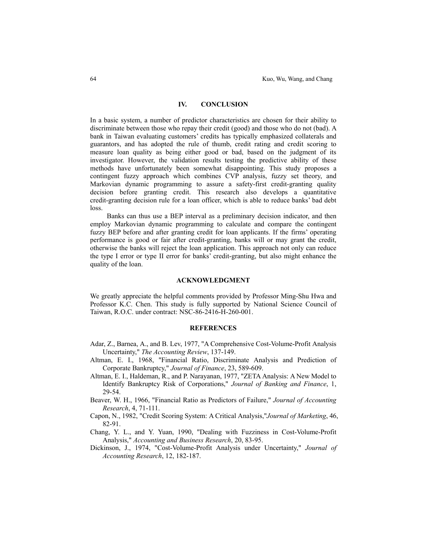# **IV. CONCLUSION**

In a basic system, a number of predictor characteristics are chosen for their ability to discriminate between those who repay their credit (good) and those who do not (bad). A bank in Taiwan evaluating customers' credits has typically emphasized collaterals and guarantors, and has adopted the rule of thumb, credit rating and credit scoring to measure loan quality as being either good or bad, based on the judgment of its investigator. However, the validation results testing the predictive ability of these methods have unfortunately been somewhat disappointing. This study proposes a contingent fuzzy approach which combines CVP analysis, fuzzy set theory, and Markovian dynamic programming to assure a safety-first credit-granting quality decision before granting credit. This research also develops a quantitative credit-granting decision rule for a loan officer, which is able to reduce banks' bad debt loss.

Banks can thus use a BEP interval as a preliminary decision indicator, and then employ Markovian dynamic programming to calculate and compare the contingent fuzzy BEP before and after granting credit for loan applicants. If the firms' operating performance is good or fair after credit-granting, banks will or may grant the credit, otherwise the banks will reject the loan application. This approach not only can reduce the type I error or type II error for banks' credit-granting, but also might enhance the quality of the loan.

#### **ACKNOWLEDGMENT**

We greatly appreciate the helpful comments provided by Professor Ming-Shu Hwa and Professor K.C. Chen. This study is fully supported by National Science Council of Taiwan, R.O.C. under contract: NSC-86-2416-H-260-001.

#### **REFERENCES**

- Adar, Z., Barnea, A., and B. Lev, 1977, "A Comprehensive Cost-Volume-Profit Analysis Uncertainty," *The Accounting Review*, 137-149.
- Altman, E. I., 1968, "Financial Ratio, Discriminate Analysis and Prediction of Corporate Bankruptcy," *Journal of Finance*, 23, 589-609.
- Altman, E. I., Haldeman, R., and P. Narayanan, 1977, "ZETA Analysis: A New Model to Identify Bankruptcy Risk of Corporations," *Journal of Banking and Finance*, 1, 29-54.
- Beaver, W. H., 1966, "Financial Ratio as Predictors of Failure," *Journal of Accounting Research*, 4, 71-111.
- Capon, N., 1982, "Credit Scoring System: A Critical Analysis,"*Journal of Marketing*, 46, 82-91.
- Chang, Y. L., and Y. Yuan, 1990, "Dealing with Fuzziness in Cost-Volume-Profit Analysis," *Accounting and Business Research*, 20, 83-95.
- Dickinson, J., 1974, "Cost-Volume-Profit Analysis under Uncertainty," *Journal of Accounting Research*, 12, 182-187.